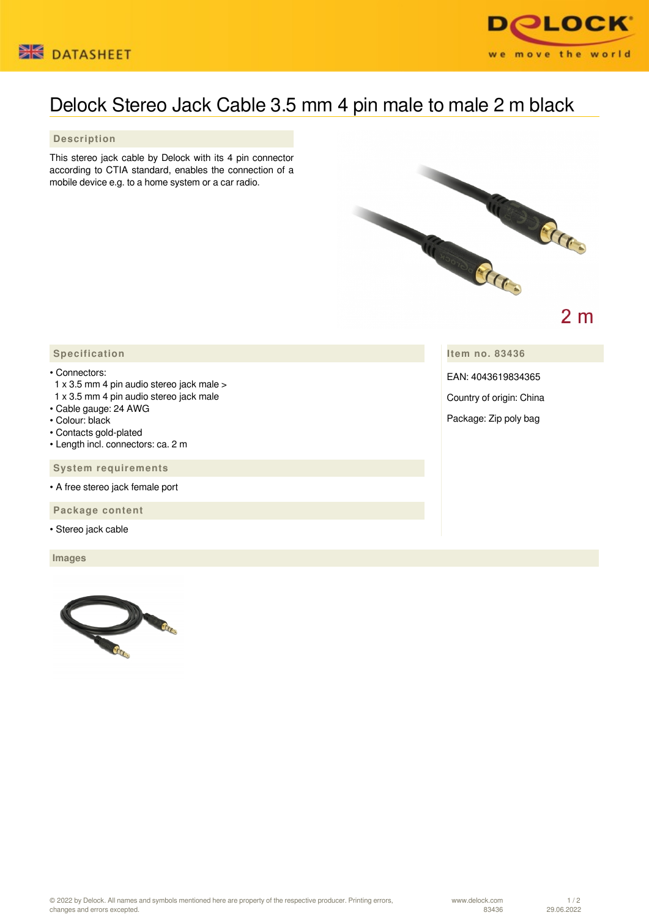



## Delock Stereo Jack Cable 3.5 mm 4 pin male to male 2 m black

 **Description**

This stereo jack cable by Delock with its 4 pin connector according to CTIA standard, enables the connection of a mobile device e.g. to a home system or a car radio.



 $2<sub>m</sub>$ 

## **Specification**

• Connectors:

- 1 x 3.5 mm 4 pin audio stereo jack male >
- 1 x 3.5 mm 4 pin audio stereo jack male
- Cable gauge: 24 AWG
- Colour: black
- Contacts gold-plated
- Length incl. connectors: ca. 2 m

 **System requirements**

• A free stereo jack female port

 **Package content**

• Stereo jack cable

 **Images**



**Item no. 83436**

EAN: 4043619834365

Country of origin: China

Package: Zip poly bag